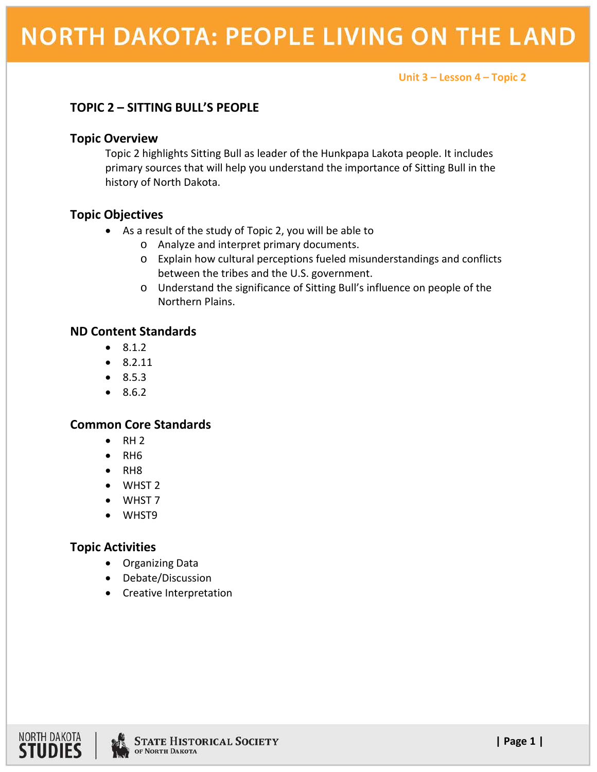#### **Unit 3 – Lesson 4 – Topic 2**

# **TOPIC 2 – SITTING BULL'S PEOPLE**

### **Topic Overview**

Topic 2 highlights Sitting Bull as leader of the Hunkpapa Lakota people. It includes primary sources that will help you understand the importance of Sitting Bull in the history of North Dakota.

## **Topic Objectives**

- As a result of the study of Topic 2, you will be able to
	- o Analyze and interpret primary documents.
	- o Explain how cultural perceptions fueled misunderstandings and conflicts between the tribes and the U.S. government.
	- o Understand the significance of Sitting Bull's influence on people of the Northern Plains.

## **ND Content Standards**

- 8.1.2
- $\bullet$  8.2.11
- 8.5.3
- 8.6.2

### **Common Core Standards**

- $\bullet$  RH 2
- RH6
- RH8
- WHST 2
- WHST 7
- WHST9

# **Topic Activities**

- Organizing Data
- Debate/Discussion
- Creative Interpretation

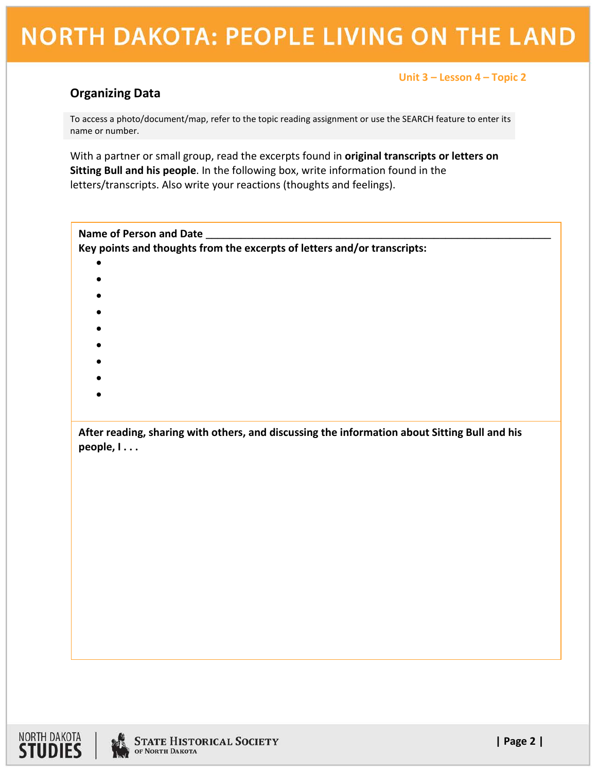# **NORTH DAKOTA: PEOPLE LIVING ON THE LAND**

### **Unit 3 – Lesson 4 – Topic 2**

# **Organizing Data**

To access a photo/document/map, refer to the topic reading assignment or use the SEARCH feature to enter its name or number.

With a partner or small group, read the excerpts found in **original transcripts or letters on Sitting Bull and his people**. In the following box, write information found in the letters/transcripts. Also write your reactions (thoughts and feelings).

| Name of Person and Date                                                                                    |  |  |  |  |  |
|------------------------------------------------------------------------------------------------------------|--|--|--|--|--|
| Key points and thoughts from the excerpts of letters and/or transcripts:                                   |  |  |  |  |  |
| $\bullet$                                                                                                  |  |  |  |  |  |
|                                                                                                            |  |  |  |  |  |
|                                                                                                            |  |  |  |  |  |
|                                                                                                            |  |  |  |  |  |
|                                                                                                            |  |  |  |  |  |
|                                                                                                            |  |  |  |  |  |
|                                                                                                            |  |  |  |  |  |
|                                                                                                            |  |  |  |  |  |
|                                                                                                            |  |  |  |  |  |
|                                                                                                            |  |  |  |  |  |
| After reading, sharing with others, and discussing the information about Sitting Bull and his<br>people, I |  |  |  |  |  |
|                                                                                                            |  |  |  |  |  |
|                                                                                                            |  |  |  |  |  |
|                                                                                                            |  |  |  |  |  |
|                                                                                                            |  |  |  |  |  |
|                                                                                                            |  |  |  |  |  |
|                                                                                                            |  |  |  |  |  |
|                                                                                                            |  |  |  |  |  |
|                                                                                                            |  |  |  |  |  |
|                                                                                                            |  |  |  |  |  |
|                                                                                                            |  |  |  |  |  |
|                                                                                                            |  |  |  |  |  |
|                                                                                                            |  |  |  |  |  |
|                                                                                                            |  |  |  |  |  |



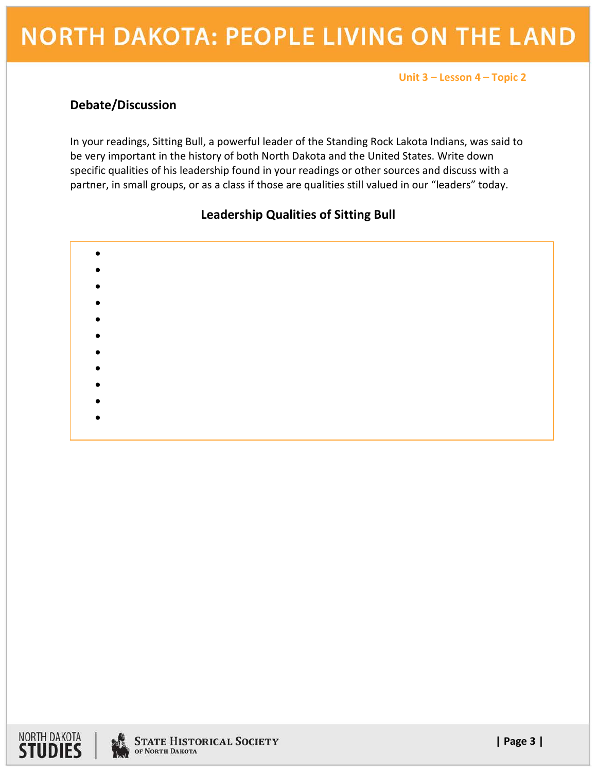# **NORTH DAKOTA: PEOPLE LIVING ON THE LAND**

#### **Unit 3 – Lesson 4 – Topic 2**

# **Debate/Discussion**

In your readings, Sitting Bull, a powerful leader of the Standing Rock Lakota Indians, was said to be very important in the history of both North Dakota and the United States. Write down specific qualities of his leadership found in your readings or other sources and discuss with a partner, in small groups, or as a class if those are qualities still valued in our "leaders" today.

# **Leadership Qualities of Sitting Bull**

- •
- •